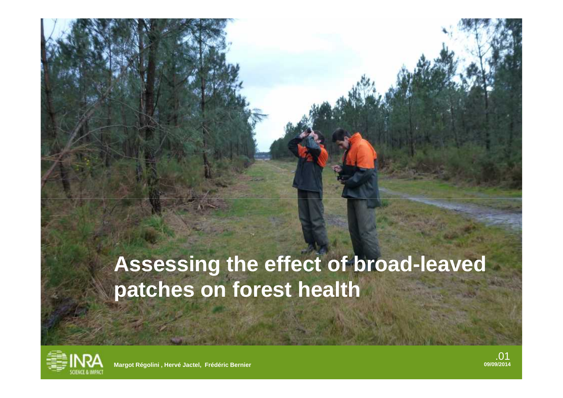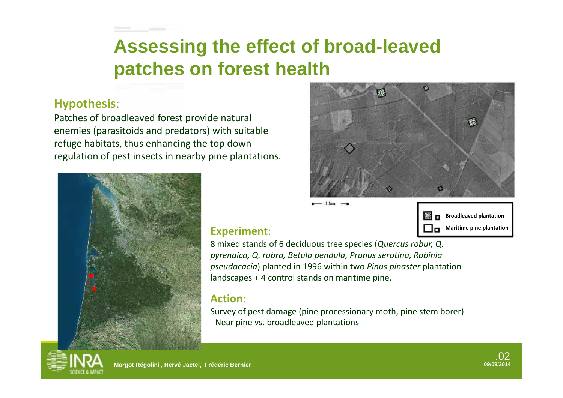#### **Hypothesis**:

Patches of broadleaved forest provide natural enemies (parasitoids and predators) with suitable refuge habitats, thus enhancing the top down regulation of pest insects in nearby pine plantations.



Пπ



#### **Experiment**:

8 mixed stands of 6 deciduous tree species (*Quercus robur, Q. pyrenaica, Q. rubra, Betula pendula, Prunus serotina, Robinia pseudacacia*) planted in 1996 within two *Pinus pinaster* plantation landscapes + 4 control stands on maritime pine.

 $-1$  km  $-$ 

#### **Action**:

Survey of pest damage (pine processionary moth, pine stem borer) - Near pine vs. broadleaved plantations







**Broadleaved plantation Maritime pine plantation**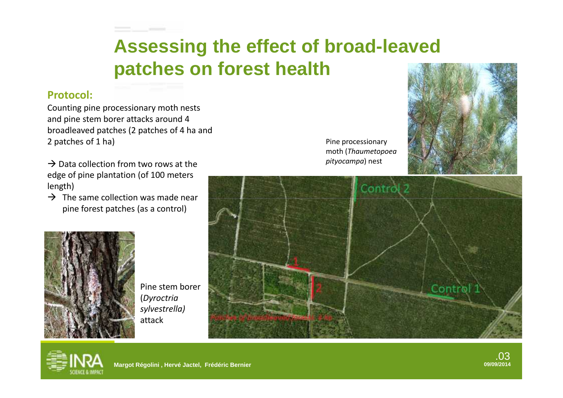

#### **Protocol:**

Counting pine processionary moth nests and pine stem borer attacks around 4 broadleaved patches (2 patches of 4 ha and 2 patches of 1 ha)

 $\rightarrow$  Data collection from two rows at the edge of pine plantation (of 100 meters length)

 $\rightarrow$  The same collection was made near pine forest patches (as a control)

Pine processionary moth (*Thaumetopoea pityocampa*) nest







Pine stem borer (*Dyroctria sylvestrella)* attack



.03<br><sub>09/09/2014</sub>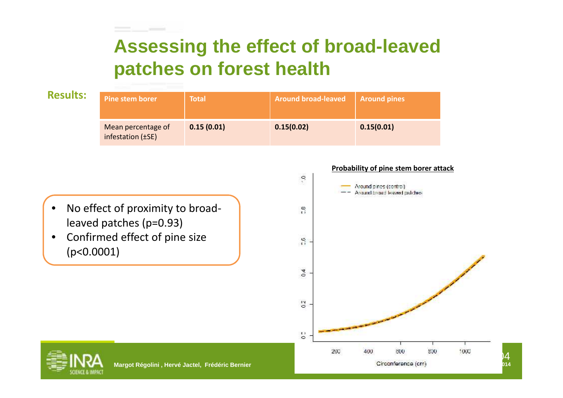



 $\mathsf{D4}$  . The set of  $\mathsf{D4}$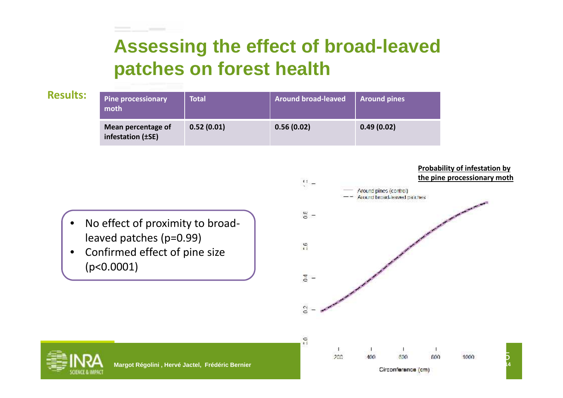| <b>Results:</b> | <b>Pine processionary</b><br>moth       | <b>Total</b> | <b>Around broad-leaved</b> | <b>Around pines</b> |
|-----------------|-----------------------------------------|--------------|----------------------------|---------------------|
|                 | Mean percentage of<br>infestation (±SE) | 0.52(0.01)   | 0.56(0.02)                 | 0.49(0.02)          |



• Confirmed effect of pine size (p<0.0001)